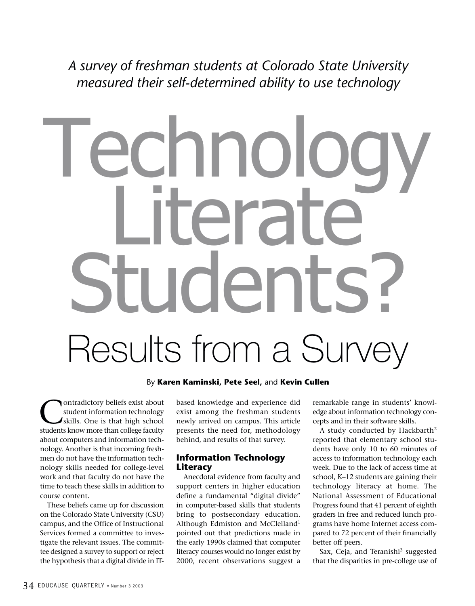*A survey of freshman students at Colorado State University measured their self-determined ability to use technology*

# Technology terate **IINANTS** Results from a Survey

By **Karen Kaminski, Pete Seel,** and **Kevin Cullen**

ontradictory beliefs exist about student information technology skills. One is that high school students know more than college faculty about computers and information technology. Another is that incoming freshmen do not have the information technology skills needed for college-level work and that faculty do not have the time to teach these skills in addition to course content.

These beliefs came up for discussion on the Colorado State University (CSU) campus, and the Office of Instructional Services formed a committee to investigate the relevant issues. The committee designed a survey to support or reject the hypothesis that a digital divide in IT-

based knowledge and experience did exist among the freshman students newly arrived on campus. This article presents the need for, methodology behind, and results of that survey.

# **Information Technology Literacy**

Anecdotal evidence from faculty and support centers in higher education define a fundamental "digital divide" in computer-based skills that students bring to postsecondary education. Although Edmiston and McClelland1 pointed out that predictions made in the early 1990s claimed that computer literacy courses would no longer exist by 2000, recent observations suggest a

remarkable range in students' knowledge about information technology concepts and in their software skills.

A study conducted by Hackbarth2 reported that elementary school students have only 10 to 60 minutes of access to information technology each week. Due to the lack of access time at school, K–12 students are gaining their technology literacy at home. The National Assessment of Educational Progress found that 41 percent of eighth graders in free and reduced lunch programs have home Internet access compared to 72 percent of their financially better off peers.

Sax, Ceja, and Teranishi<sup>3</sup> suggested that the disparities in pre-college use of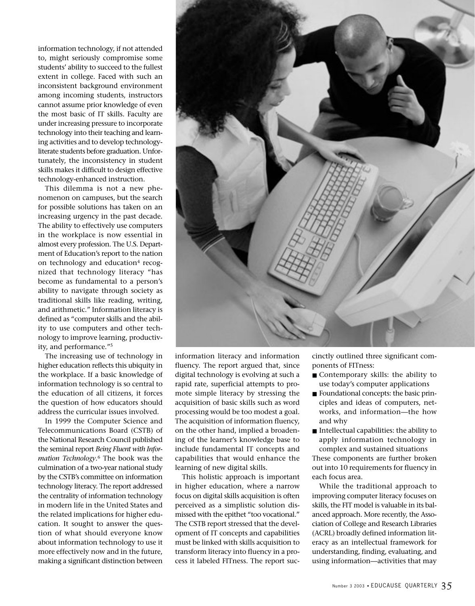information technology, if not attended to, might seriously compromise some students' ability to succeed to the fullest extent in college. Faced with such an inconsistent background environment among incoming students, instructors cannot assume prior knowledge of even the most basic of IT skills. Faculty are under increasing pressure to incorporate technology into their teaching and learning activities and to develop technologyliterate students before graduation. Unfortunately, the inconsistency in student skills makes it difficult to design effective technology-enhanced instruction.

This dilemma is not a new phenomenon on campuses, but the search for possible solutions has taken on an increasing urgency in the past decade. The ability to effectively use computers in the workplace is now essential in almost every profession. The U.S. Department of Education's report to the nation on technology and education $4$  recognized that technology literacy "has become as fundamental to a person's ability to navigate through society as traditional skills like reading, writing, and arithmetic." Information literacy is defined as "computer skills and the ability to use computers and other technology to improve learning, productivity, and performance."5

The increasing use of technology in higher education reflects this ubiquity in the workplace. If a basic knowledge of information technology is so central to the education of all citizens, it forces the question of how educators should address the curricular issues involved.

In 1999 the Computer Science and Telecommunications Board (CSTB) of the National Research Council published the seminal report *Being Fluent with Information Technology*. <sup>6</sup> The book was the culmination of a two-year national study by the CSTB's committee on information technology literacy. The report addressed the centrality of information technology in modern life in the United States and the related implications for higher education. It sought to answer the question of what should everyone know about information technology to use it more effectively now and in the future, making a significant distinction between



information literacy and information fluency. The report argued that, since digital technology is evolving at such a rapid rate, superficial attempts to promote simple literacy by stressing the acquisition of basic skills such as word processing would be too modest a goal. The acquisition of information fluency, on the other hand, implied a broadening of the learner's knowledge base to include fundamental IT concepts and capabilities that would enhance the learning of new digital skills.

This holistic approach is important in higher education, where a narrow focus on digital skills acquisition is often perceived as a simplistic solution dismissed with the epithet "too vocational." The CSTB report stressed that the development of IT concepts and capabilities must be linked with skills acquisition to transform literacy into fluency in a process it labeled FITness. The report succinctly outlined three significant components of FITness:

- Contemporary skills: the ability to use today's computer applications
- Foundational concepts: the basic principles and ideas of computers, networks, and information—the how and why
- Intellectual capabilities: the ability to apply information technology in complex and sustained situations

These components are further broken out into 10 requirements for fluency in each focus area.

While the traditional approach to improving computer literacy focuses on skills, the FIT model is valuable in its balanced approach. More recently, the Association of College and Research Libraries (ACRL) broadly defined information literacy as an intellectual framework for understanding, finding, evaluating, and using information—activities that may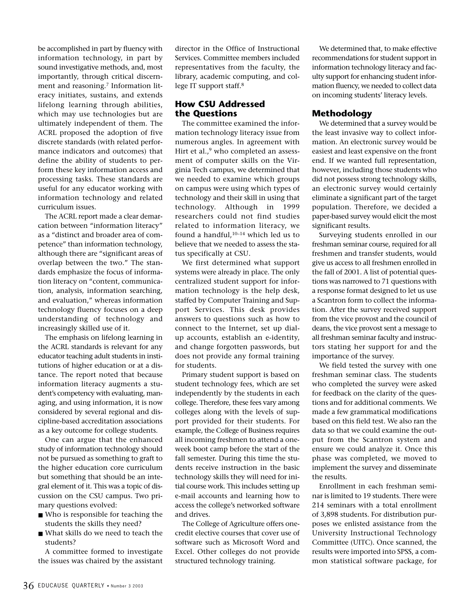be accomplished in part by fluency with information technology, in part by sound investigative methods, and, most importantly, through critical discernment and reasoning.<sup>7</sup> Information literacy initiates, sustains, and extends lifelong learning through abilities, which may use technologies but are ultimately independent of them. The ACRL proposed the adoption of five discrete standards (with related performance indicators and outcomes) that define the ability of students to perform these key information access and processing tasks. These standards are useful for any educator working with information technology and related curriculum issues.

The ACRL report made a clear demarcation between "information literacy" as a "distinct and broader area of competence" than information technology, although there are "significant areas of overlap between the two." The standards emphasize the focus of information literacy on "content, communication, analysis, information searching, and evaluation," whereas information technology fluency focuses on a deep understanding of technology and increasingly skilled use of it.

The emphasis on lifelong learning in the ACRL standards is relevant for any educator teaching adult students in institutions of higher education or at a distance. The report noted that because information literacy augments a student's competency with evaluating, managing, and using information, it is now considered by several regional and discipline-based accreditation associations as a key outcome for college students.

One can argue that the enhanced study of information technology should not be pursued as something to graft to the higher education core curriculum but something that should be an integral element of it. This was a topic of discussion on the CSU campus. Two primary questions evolved:

- Who is responsible for teaching the students the skills they need?
- What skills do we need to teach the students?

A committee formed to investigate the issues was chaired by the assistant director in the Office of Instructional Services. Committee members included representatives from the faculty, the library, academic computing, and college IT support staff.8

# **How CSU Addressed the Questions**

The committee examined the information technology literacy issue from numerous angles. In agreement with Hirt et al.,<sup>9</sup> who completed an assessment of computer skills on the Virginia Tech campus, we determined that we needed to examine which groups on campus were using which types of technology and their skill in using that technology. Although in 1999 researchers could not find studies related to information literacy, we found a handful, $10-14$  which led us to believe that we needed to assess the status specifically at CSU.

We first determined what support systems were already in place. The only centralized student support for information technology is the help desk, staffed by Computer Training and Support Services. This desk provides answers to questions such as how to connect to the Internet, set up dialup accounts, establish an e-identity, and change forgotten passwords, but does not provide any formal training for students.

Primary student support is based on student technology fees, which are set independently by the students in each college. Therefore, these fees vary among colleges along with the levels of support provided for their students. For example, the College of Business requires all incoming freshmen to attend a oneweek boot camp before the start of the fall semester. During this time the students receive instruction in the basic technology skills they will need for initial course work. This includes setting up e-mail accounts and learning how to access the college's networked software and drives.

The College of Agriculture offers onecredit elective courses that cover use of software such as Microsoft Word and Excel. Other colleges do not provide structured technology training.

We determined that, to make effective recommendations for student support in information technology literacy and faculty support for enhancing student information fluency, we needed to collect data on incoming students' literacy levels.

# **Methodology**

We determined that a survey would be the least invasive way to collect information. An electronic survey would be easiest and least expensive on the front end. If we wanted full representation, however, including those students who did not possess strong technology skills, an electronic survey would certainly eliminate a significant part of the target population. Therefore, we decided a paper-based survey would elicit the most significant results.

Surveying students enrolled in our freshman seminar course, required for all freshmen and transfer students, would give us access to all freshmen enrolled in the fall of 2001. A list of potential questions was narrowed to 71 questions with a response format designed to let us use a Scantron form to collect the information. After the survey received support from the vice provost and the council of deans, the vice provost sent a message to all freshman seminar faculty and instructors stating her support for and the importance of the survey.

We field tested the survey with one freshman seminar class. The students who completed the survey were asked for feedback on the clarity of the questions and for additional comments. We made a few grammatical modifications based on this field test. We also ran the data so that we could examine the output from the Scantron system and ensure we could analyze it. Once this phase was completed, we moved to implement the survey and disseminate the results.

Enrollment in each freshman seminar is limited to 19 students. There were 214 seminars with a total enrollment of 3,898 students. For distribution purposes we enlisted assistance from the University Instructional Technology Committee (UITC). Once scanned, the results were imported into SPSS, a common statistical software package, for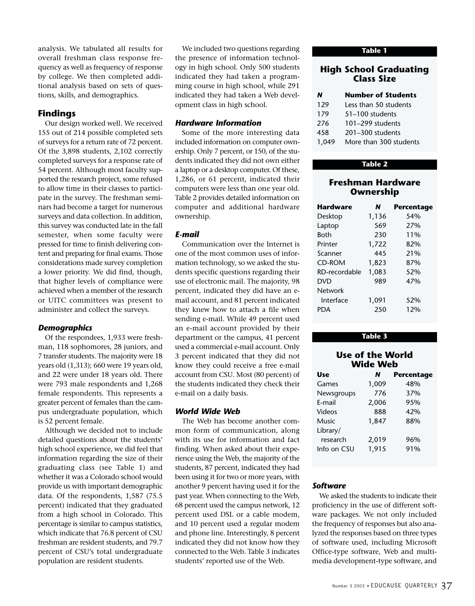analysis. We tabulated all results for overall freshman class response frequency as well as frequency of response by college. We then completed additional analysis based on sets of questions, skills, and demographics.

# **Findings**

Our design worked well. We received 155 out of 214 possible completed sets of surveys for a return rate of 72 percent. Of the 3,898 students, 2,102 correctly completed surveys for a response rate of 54 percent. Although most faculty supported the research project, some refused to allow time in their classes to participate in the survey. The freshman seminars had become a target for numerous surveys and data collection. In addition, this survey was conducted late in the fall semester, when some faculty were pressed for time to finish delivering content and preparing for final exams. Those considerations made survey completion a lower priority. We did find, though, that higher levels of compliance were achieved when a member of the research or UITC committees was present to administer and collect the surveys.

#### *Demographics*

Of the respondees, 1,933 were freshman, 118 sophomores, 28 juniors, and 7 transfer students. The majority were 18 years old (1,313); 660 were 19 years old, and 22 were under 18 years old. There were 793 male respondents and 1,268 female respondents. This represents a greater percent of females than the campus undergraduate population, which is 52 percent female.

Although we decided not to include detailed questions about the students' high school experience, we did feel that information regarding the size of their graduating class (see Table 1) and whether it was a Colorado school would provide us with important demographic data. Of the respondents, 1,587 (75.5 percent) indicated that they graduated from a high school in Colorado. This percentage is similar to campus statistics, which indicate that 76.8 percent of CSU freshman are resident students, and 79.7 percent of CSU's total undergraduate population are resident students.

We included two questions regarding the presence of information technology in high school. Only 500 students indicated they had taken a programming course in high school, while 291 indicated they had taken a Web development class in high school.

#### *Hardware Information*

Some of the more interesting data included information on computer ownership. Only 7 percent, or 150, of the students indicated they did not own either a laptop or a desktop computer. Of these, 1,286, or 61 percent, indicated their computers were less than one year old. Table 2 provides detailed information on computer and additional hardware ownership.

### *E-mail*

Communication over the Internet is one of the most common uses of information technology, so we asked the students specific questions regarding their use of electronic mail. The majority, 98 percent, indicated they did have an email account, and 81 percent indicated they knew how to attach a file when sending e-mail. While 49 percent used an e-mail account provided by their department or the campus, 41 percent used a commercial e-mail account. Only 3 percent indicated that they did not know they could receive a free e-mail account from CSU. Most (80 percent) of the students indicated they check their e-mail on a daily basis.

## *World Wide Web*

The Web has become another common form of communication, along with its use for information and fact finding. When asked about their experience using the Web, the majority of the students, 87 percent, indicated they had been using it for two or more years, with another 9 percent having used it for the past year. When connecting to the Web, 68 percent used the campus network, 12 percent used DSL or a cable modem, and 10 percent used a regular modem and phone line. Interestingly, 8 percent indicated they did not know how they connected to the Web. Table 3 indicates students' reported use of the Web.

#### **Table 1**

# **High School Graduating Class Size**

| N     | <b>Number of Students</b> |
|-------|---------------------------|
| 129   | Less than 50 students     |
| 179   | 51-100 students           |
| 276   | 101-299 students          |
| 458   | $201 - 300$ students      |
| 1,049 | More than 300 students    |

#### **Table 2**

# **Freshman Hardware Ownership**

| Hardware      | N     | Percentage |
|---------------|-------|------------|
| Desktop       | 1,136 | 54%        |
| Laptop        | 569   | 27%        |
| <b>Both</b>   | 230   | 11%        |
| Printer       | 1,722 | 82%        |
| Scanner       | 445   | 21%        |
| <b>CD-ROM</b> | 1,823 | 87%        |
| RD-recordable | 1,083 | 52%        |
| DVD           | 989   | 47%        |
| Network       |       |            |
| Interface     | 1,091 | 52%        |
| PDA           | 250   | 12%        |

#### **Table 3**

# **Use of the World Wide Web**

| <b>Use</b>   | N     | <b>Percentage</b> |
|--------------|-------|-------------------|
| Games        | 1,009 | 48%               |
| Newsgroups   | 776   | 37%               |
| E-mail       | 2,006 | 95%               |
| Videos       | 888   | 42%               |
| <b>Music</b> | 1,847 | 88%               |
| Library/     |       |                   |
| research     | 2,019 | 96%               |
| Info on CSU  | 1,915 | 91%               |

#### *Software*

We asked the students to indicate their proficiency in the use of different software packages. We not only included the frequency of responses but also analyzed the responses based on three types of software used, including Microsoft Office-type software, Web and multimedia development-type software, and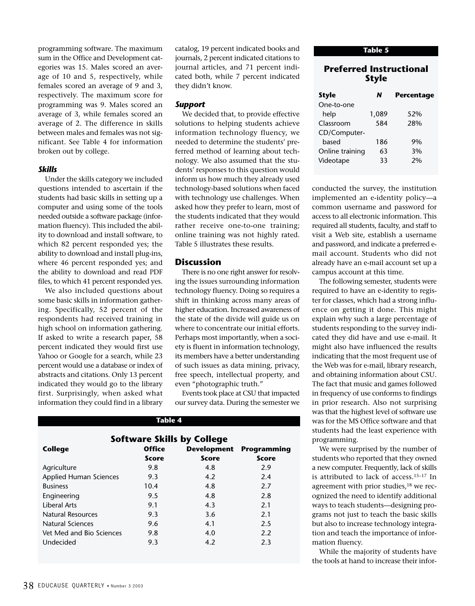programming software. The maximum sum in the Office and Development categories was 15. Males scored an average of 10 and 5, respectively, while females scored an average of 9 and 3, respectively. The maximum score for programming was 9. Males scored an average of 3, while females scored an average of 2. The difference in skills between males and females was not significant. See Table 4 for information broken out by college.

#### *Skills*

Under the skills category we included questions intended to ascertain if the students had basic skills in setting up a computer and using some of the tools needed outside a software package (information fluency). This included the ability to download and install software, to which 82 percent responded yes; the ability to download and install plug-ins, where 46 percent responded yes; and the ability to download and read PDF files, to which 41 percent responded yes.

We also included questions about some basic skills in information gathering. Specifically, 52 percent of the respondents had received training in high school on information gathering. If asked to write a research paper, 58 percent indicated they would first use Yahoo or Google for a search, while 23 percent would use a database or index of abstracts and citations. Only 13 percent indicated they would go to the library first. Surprisingly, when asked what information they could find in a library

catalog, 19 percent indicated books and journals, 2 percent indicated citations to journal articles, and 71 percent indicated both, while 7 percent indicated they didn't know.

#### *Support*

We decided that, to provide effective solutions to helping students achieve information technology fluency, we needed to determine the students' preferred method of learning about technology. We also assumed that the students' responses to this question would inform us how much they already used technology-based solutions when faced with technology use challenges. When asked how they prefer to learn, most of the students indicated that they would rather receive one-to-one training; online training was not highly rated. Table 5 illustrates these results.

### **Discussion**

There is no one right answer for resolving the issues surrounding information technology fluency. Doing so requires a shift in thinking across many areas of higher education. Increased awareness of the state of the divide will guide us on where to concentrate our initial efforts. Perhaps most importantly, when a society is fluent in information technology, its members have a better understanding of such issues as data mining, privacy, free speech, intellectual property, and even "photographic truth."

Events took place at CSU that impacted our survey data. During the semester we

# **Software Skills by College**<br>Office Developmer **College Office Development Programming Score** Score Score Agriculture 2.9 2.9 Applied Human Sciences 9.3 4.2 2.4 Business 10.4 4.8 2.7 Engineering 2.8 2.8 Liberal Arts 9.1 4.3 2.1 Natural Resources 8.3 3.6 2.1 Natural Sciences 5 and 9.6 5 and 4.1 and 4.1 and 2.5 Vet Med and Bio Sciences  $9.8$  4.0 2.2 Undecided 2.3 4.2 2.3

**Table 4**

**Table 5**

# **Preferred Instructional Style**

| <b>Style</b>    | N     | <b>Percentage</b> |  |  |
|-----------------|-------|-------------------|--|--|
| One-to-one      |       |                   |  |  |
| help            | 1,089 | 52%               |  |  |
| Classroom       | 584   | 28%               |  |  |
| CD/Computer-    |       |                   |  |  |
| hased           | 186   | 9%                |  |  |
| Online training | 63    | 3%                |  |  |
| Videotape       | 33    | 2%                |  |  |
|                 |       |                   |  |  |

conducted the survey, the institution implemented an e-identity policy—a common username and password for access to all electronic information. This required all students, faculty, and staff to visit a Web site, establish a username and password, and indicate a preferred email account. Students who did not already have an e-mail account set up a campus account at this time.

The following semester, students were required to have an e-identity to register for classes, which had a strong influence on getting it done. This might explain why such a large percentage of students responding to the survey indicated they did have and use e-mail. It might also have influenced the results indicating that the most frequent use of the Web was for e-mail, library research, and obtaining information about CSU. The fact that music and games followed in frequency of use conforms to findings in prior research. Also not surprising was that the highest level of software use was for the MS Office software and that students had the least experience with programming.

We were surprised by the number of students who reported that they owned a new computer. Frequently, lack of skills is attributed to lack of access.15–17 In agreement with prior studies,<sup>18</sup> we recognized the need to identify additional ways to teach students—designing programs not just to teach the basic skills but also to increase technology integration and teach the importance of information fluency.

While the majority of students have the tools at hand to increase their infor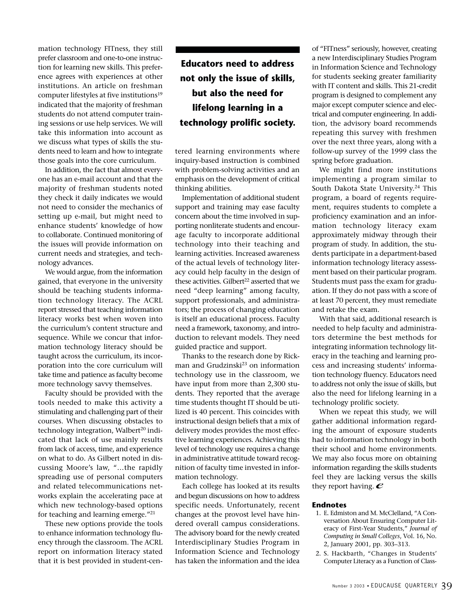mation technology FITness, they still prefer classroom and one-to-one instruction for learning new skills. This preference agrees with experiences at other institutions. An article on freshman computer lifestyles at five institutions<sup>19</sup> indicated that the majority of freshman students do not attend computer training sessions or use help services. We will take this information into account as we discuss what types of skills the students need to learn and how to integrate those goals into the core curriculum.

In addition, the fact that almost everyone has an e-mail account and that the majority of freshman students noted they check it daily indicates we would not need to consider the mechanics of setting up e-mail, but might need to enhance students' knowledge of how to collaborate. Continued monitoring of the issues will provide information on current needs and strategies, and technology advances.

We would argue, from the information gained, that everyone in the university should be teaching students information technology literacy. The ACRL report stressed that teaching information literacy works best when woven into the curriculum's content structure and sequence. While we concur that information technology literacy should be taught across the curriculum, its incorporation into the core curriculum will take time and patience as faculty become more technology savvy themselves.

Faculty should be provided with the tools needed to make this activity a stimulating and challenging part of their courses. When discussing obstacles to technology integration, Walbert<sup>20</sup> indicated that lack of use mainly results from lack of access, time, and experience on what to do. As Gilbert noted in discussing Moore's law, "…the rapidly spreading use of personal computers and related telecommunications networks explain the accelerating pace at which new technology-based options for teaching and learning emerge."21

These new options provide the tools to enhance information technology fluency through the classroom. The ACRL report on information literacy stated that it is best provided in student-cen-

**Educators need to address not only the issue of skills, but also the need for lifelong learning in a technology prolific society.**

tered learning environments where inquiry-based instruction is combined with problem-solving activities and an emphasis on the development of critical thinking abilities.

Implementation of additional student support and training may ease faculty concern about the time involved in supporting nonliterate students and encourage faculty to incorporate additional technology into their teaching and learning activities. Increased awareness of the actual levels of technology literacy could help faculty in the design of these activities. Gilbert<sup>22</sup> asserted that we need "deep learning" among faculty, support professionals, and administrators; the process of changing education is itself an educational process. Faculty need a framework, taxonomy, and introduction to relevant models. They need guided practice and support.

Thanks to the research done by Rickman and Grudzinski<sup>23</sup> on information technology use in the classroom, we have input from more than 2,300 students. They reported that the average time students thought IT should be utilized is 40 percent. This coincides with instructional design beliefs that a mix of delivery modes provides the most effective learning experiences. Achieving this level of technology use requires a change in administrative attitude toward recognition of faculty time invested in information technology.

Each college has looked at its results and begun discussions on how to address specific needs. Unfortunately, recent changes at the provost level have hindered overall campus considerations. The advisory board for the newly created Interdisciplinary Studies Program in Information Science and Technology has taken the information and the idea of "FITness" seriously, however, creating a new Interdisciplinary Studies Program in Information Science and Technology for students seeking greater familiarity with IT content and skills. This 21-credit program is designed to complement any major except computer science and electrical and computer engineering. In addition, the advisory board recommends repeating this survey with freshmen over the next three years, along with a follow-up survey of the 1999 class the spring before graduation.

We might find more institutions implementing a program similar to South Dakota State University.<sup>24</sup> This program, a board of regents requirement, requires students to complete a proficiency examination and an information technology literacy exam approximately midway through their program of study. In addition, the students participate in a department-based information technology literacy assessment based on their particular program. Students must pass the exam for graduation. If they do not pass with a score of at least 70 percent, they must remediate and retake the exam.

With that said, additional research is needed to help faculty and administrators determine the best methods for integrating information technology literacy in the teaching and learning process and increasing students' information technology fluency. Educators need to address not only the issue of skills, but also the need for lifelong learning in a technology prolific society.

When we repeat this study, we will gather additional information regarding the amount of exposure students had to information technology in both their school and home environments. We may also focus more on obtaining information regarding the skills students feel they are lacking versus the skills they report having.  $e$ 

#### **Endnotes**

- 1. E. Edmiston and M. McClelland, "A Conversation About Ensuring Computer Literacy of First-Year Students," *Journal of Computing in Small Colleges*, Vol. 16, No. 2, January 2001, pp. 303–313.
- 2. S. Hackbarth, "Changes in Students' Computer Literacy as a Function of Class-